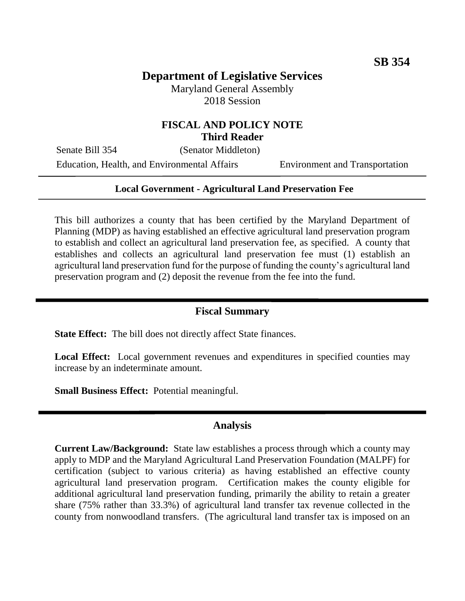# **Department of Legislative Services**

Maryland General Assembly 2018 Session

### **FISCAL AND POLICY NOTE Third Reader**

Senate Bill 354 (Senator Middleton) Education, Health, and Environmental Affairs Environment and Transportation

#### **Local Government - Agricultural Land Preservation Fee**

This bill authorizes a county that has been certified by the Maryland Department of Planning (MDP) as having established an effective agricultural land preservation program to establish and collect an agricultural land preservation fee, as specified. A county that establishes and collects an agricultural land preservation fee must (1) establish an agricultural land preservation fund for the purpose of funding the county's agricultural land preservation program and (2) deposit the revenue from the fee into the fund.

### **Fiscal Summary**

**State Effect:** The bill does not directly affect State finances.

Local Effect: Local government revenues and expenditures in specified counties may increase by an indeterminate amount.

**Small Business Effect:** Potential meaningful.

#### **Analysis**

**Current Law/Background:** State law establishes a process through which a county may apply to MDP and the Maryland Agricultural Land Preservation Foundation (MALPF) for certification (subject to various criteria) as having established an effective county agricultural land preservation program. Certification makes the county eligible for additional agricultural land preservation funding, primarily the ability to retain a greater share (75% rather than 33.3%) of agricultural land transfer tax revenue collected in the county from nonwoodland transfers. (The agricultural land transfer tax is imposed on an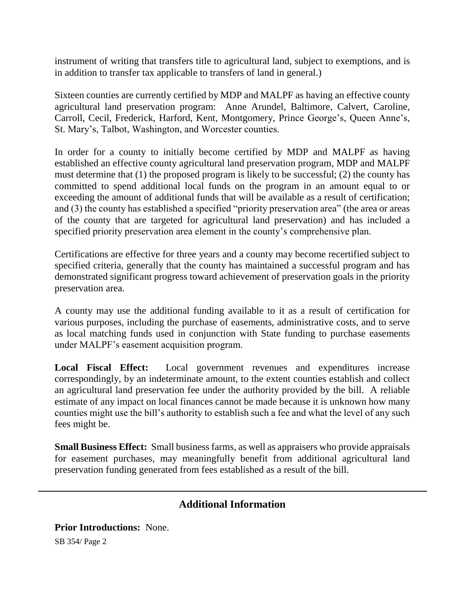instrument of writing that transfers title to agricultural land, subject to exemptions, and is in addition to transfer tax applicable to transfers of land in general.)

Sixteen counties are currently certified by MDP and MALPF as having an effective county agricultural land preservation program: Anne Arundel, Baltimore, Calvert, Caroline, Carroll, Cecil, Frederick, Harford, Kent, Montgomery, Prince George's, Queen Anne's, St. Mary's, Talbot, Washington, and Worcester counties.

In order for a county to initially become certified by MDP and MALPF as having established an effective county agricultural land preservation program, MDP and MALPF must determine that (1) the proposed program is likely to be successful; (2) the county has committed to spend additional local funds on the program in an amount equal to or exceeding the amount of additional funds that will be available as a result of certification; and (3) the county has established a specified "priority preservation area" (the area or areas of the county that are targeted for agricultural land preservation) and has included a specified priority preservation area element in the county's comprehensive plan.

Certifications are effective for three years and a county may become recertified subject to specified criteria, generally that the county has maintained a successful program and has demonstrated significant progress toward achievement of preservation goals in the priority preservation area.

A county may use the additional funding available to it as a result of certification for various purposes, including the purchase of easements, administrative costs, and to serve as local matching funds used in conjunction with State funding to purchase easements under MALPF's easement acquisition program.

**Local Fiscal Effect:** Local government revenues and expenditures increase correspondingly, by an indeterminate amount, to the extent counties establish and collect an agricultural land preservation fee under the authority provided by the bill. A reliable estimate of any impact on local finances cannot be made because it is unknown how many counties might use the bill's authority to establish such a fee and what the level of any such fees might be.

**Small Business Effect:** Small business farms, as well as appraisers who provide appraisals for easement purchases, may meaningfully benefit from additional agricultural land preservation funding generated from fees established as a result of the bill.

## **Additional Information**

**Prior Introductions:** None.

SB 354/ Page 2